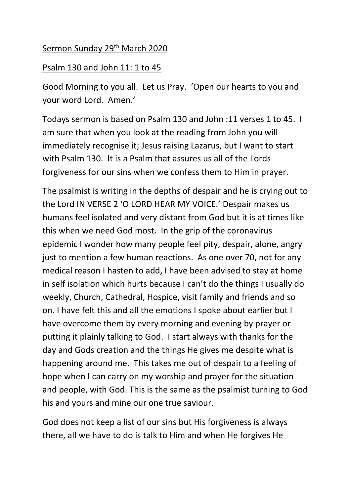## Sermon Sunday 29<sup>th</sup> March 2020

## Psalm 130 and John 11: 1 to 45

Good Morning to you all. Let us Pray. 'Open our hearts to you and your word Lord. Amen.'

Todays sermon is based on Psalm 130 and John :11 verses 1 to 45. I am sure that when you look at the reading from John you will immediately recognise it; Jesus raising Lazarus, but I want to start with Psalm 130. It is a Psalm that assures us all of the Lords forgiveness for our sins when we confess them to Him in prayer.

The psalmist is writing in the depths of despair and he is crying out to the Lord IN VERSE 2 'O LORD HEAR MY VOICE.' Despair makes us humans feel isolated and very distant from God but it is at times like this when we need God most. In the grip of the coronavirus epidemic I wonder how many people feel pity, despair, alone, angry just to mention a few human reactions. As one over 70, not for any medical reason I hasten to add, I have been advised to stay at home in self isolation which hurts because I can't do the things I usually do weekly, Church, Cathedral, Hospice, visit family and friends and so on. I have felt this and all the emotions I spoke about earlier but I have overcome them by every morning and evening by prayer or putting it plainly talking to God. I start always with thanks for the day and Gods creation and the things He gives me despite what is happening around me. This takes me out of despair to a feeling of hope when I can carry on my worship and prayer for the situation and people, with God. This is the same as the psalmist turning to God his and yours and mine our one true saviour.

God does not keep a list of our sins but His forgiveness is always there, all we have to do is talk to Him and when He forgives He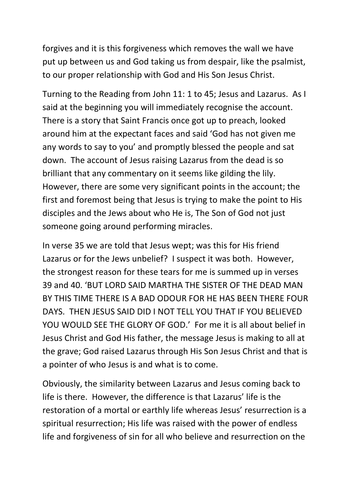forgives and it is this forgiveness which removes the wall we have put up between us and God taking us from despair, like the psalmist, to our proper relationship with God and His Son Jesus Christ.

Turning to the Reading from John 11: 1 to 45; Jesus and Lazarus. As I said at the beginning you will immediately recognise the account. There is a story that Saint Francis once got up to preach, looked around him at the expectant faces and said 'God has not given me any words to say to you' and promptly blessed the people and sat down. The account of Jesus raising Lazarus from the dead is so brilliant that any commentary on it seems like gilding the lily. However, there are some very significant points in the account; the first and foremost being that Jesus is trying to make the point to His disciples and the Jews about who He is, The Son of God not just someone going around performing miracles.

In verse 35 we are told that Jesus wept; was this for His friend Lazarus or for the Jews unbelief? I suspect it was both. However, the strongest reason for these tears for me is summed up in verses 39 and 40. 'BUT LORD SAID MARTHA THE SISTER OF THE DEAD MAN BY THIS TIME THERE IS A BAD ODOUR FOR HE HAS BEEN THERE FOUR DAYS. THEN JESUS SAID DID I NOT TELL YOU THAT IF YOU BELIEVED YOU WOULD SEE THE GLORY OF GOD.' For me it is all about belief in Jesus Christ and God His father, the message Jesus is making to all at the grave; God raised Lazarus through His Son Jesus Christ and that is a pointer of who Jesus is and what is to come.

Obviously, the similarity between Lazarus and Jesus coming back to life is there. However, the difference is that Lazarus' life is the restoration of a mortal or earthly life whereas Jesus' resurrection is a spiritual resurrection; His life was raised with the power of endless life and forgiveness of sin for all who believe and resurrection on the